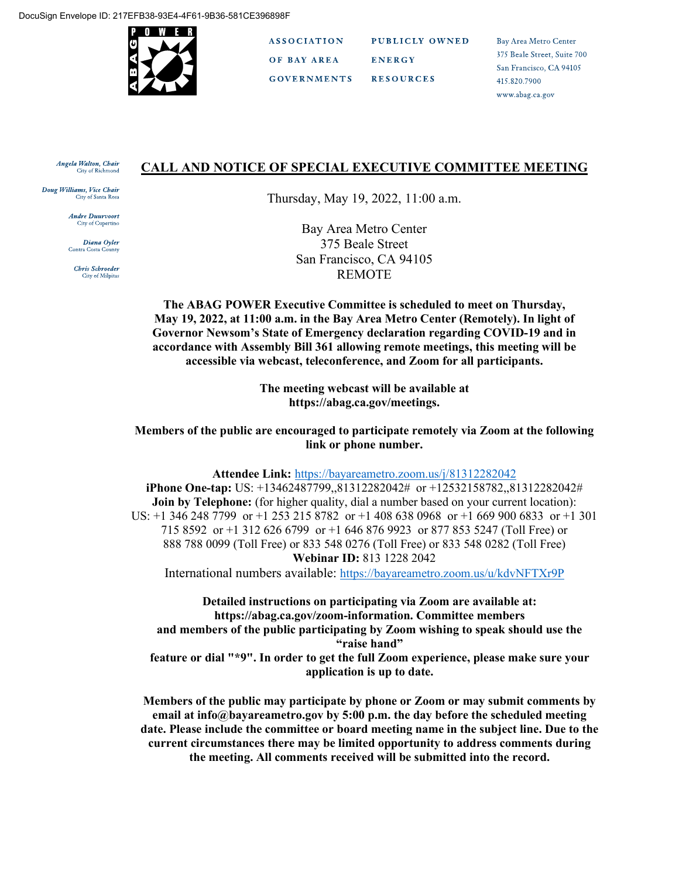

**ASSOCIATION** PUBLICLY OWNED OF BAY AREA **ENERGY GOVERNMENTS RESOURCES** 

Bay Area Metro Center 375 Beale Street, Suite 700 San Francisco, CA 94105 415.820.7900 www.abag.ca.gov

#### Angela Walton, Chair **City of Richmond**

Doug Williams, Vice Chair City of Santa 1

> **Andre Duurvoort City of Cupertino**

Diana Oyler Contra Costa County

> Chris Schroeder **City of Milpitas**

#### **CALL AND NOTICE OF SPECIAL EXECUTIVE COMMITTEE MEETING**

Thursday, May 19, 2022, 11:00 a.m.

Bay Area Metro Center 375 Beale Street San Francisco, CA 94105 REMOTE

**The ABAG POWER Executive Committee is scheduled to meet on Thursday, May 19, 2022, at 11:00 a.m. in the Bay Area Metro Center (Remotely). In light of Governor Newsom's State of Emergency declaration regarding COVID-19 and in accordance with Assembly Bill 361 allowing remote meetings, this meeting will be accessible via webcast, teleconference, and Zoom for all participants.** 

> **The meeting webcast will be available at https://abag.ca.gov/meetings.**

**Members of the public are encouraged to participate remotely via Zoom at the following link or phone number.**

**Attendee Link:** <https://bayareametro.zoom.us/j/81312282042> **iPhone One-tap:** US: +13462487799,,81312282042# or +12532158782,,81312282042# **Join by Telephone:** (for higher quality, dial a number based on your current location): US: +1 346 248 7799 or +1 253 215 8782 or +1 408 638 0968 or +1 669 900 6833 or +1 301 715 8592 or +1 312 626 6799 or +1 646 876 9923 or 877 853 5247 (Toll Free) or 888 788 0099 (Toll Free) or 833 548 0276 (Toll Free) or 833 548 0282 (Toll Free) **Webinar ID:** 813 1228 2042

International numbers available:<https://bayareametro.zoom.us/u/kdvNFTXr9P>

**Detailed instructions on participating via Zoom are available at: https://abag.ca.gov/zoom-information. Committee members and members of the public participating by Zoom wishing to speak should use the "raise hand" feature or dial "\*9". In order to get the full Zoom experience, please make sure your**

**application is up to date.**

**Members of the public may participate by phone or Zoom or may submit comments by email at info@bayareametro.gov by 5:00 p.m. the day before the scheduled meeting date. Please include the committee or board meeting name in the subject line. Due to the current circumstances there may be limited opportunity to address comments during the meeting. All comments received will be submitted into the record.**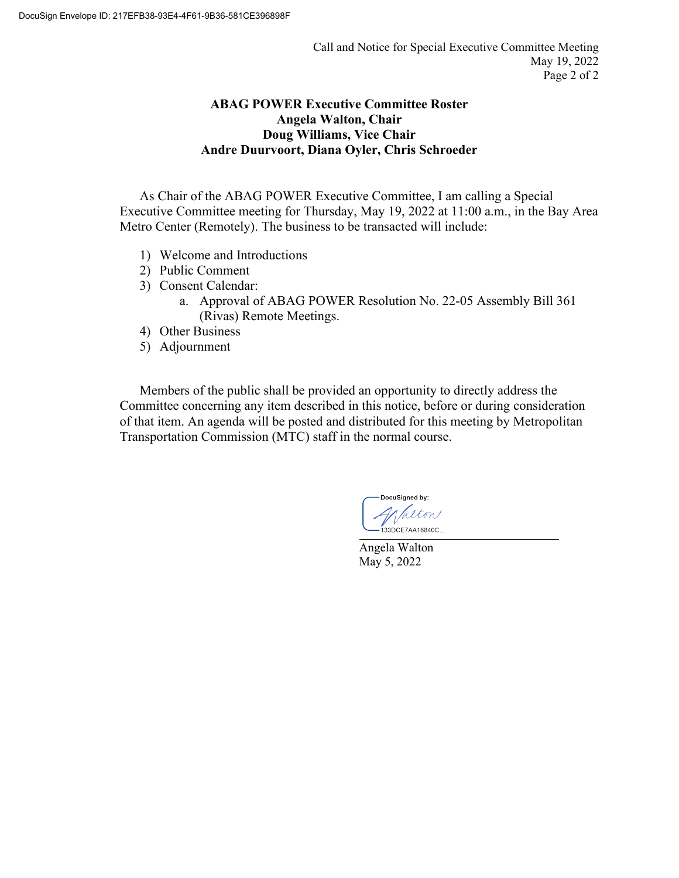### **ABAG POWER Executive Committee Roster Angela Walton, Chair Doug Williams, Vice Chair Andre Duurvoort, Diana Oyler, Chris Schroeder**

As Chair of the ABAG POWER Executive Committee, I am calling a Special Executive Committee meeting for Thursday, May 19, 2022 at 11:00 a.m., in the Bay Area Metro Center (Remotely). The business to be transacted will include:

- 1) Welcome and Introductions
- 2) Public Comment
- 3) Consent Calendar:
	- a. Approval of ABAG POWER Resolution No. 22-05 Assembly Bill 361 (Rivas) Remote Meetings.
- 4) Other Business
- 5) Adjournment

Members of the public shall be provided an opportunity to directly address the Committee concerning any item described in this notice, before or during consideration of that item. An agenda will be posted and distributed for this meeting by Metropolitan Transportation Commission (MTC) staff in the normal course.

DocuSigned by: 133DCE7AA16840C

Angela Walton May 5, 2022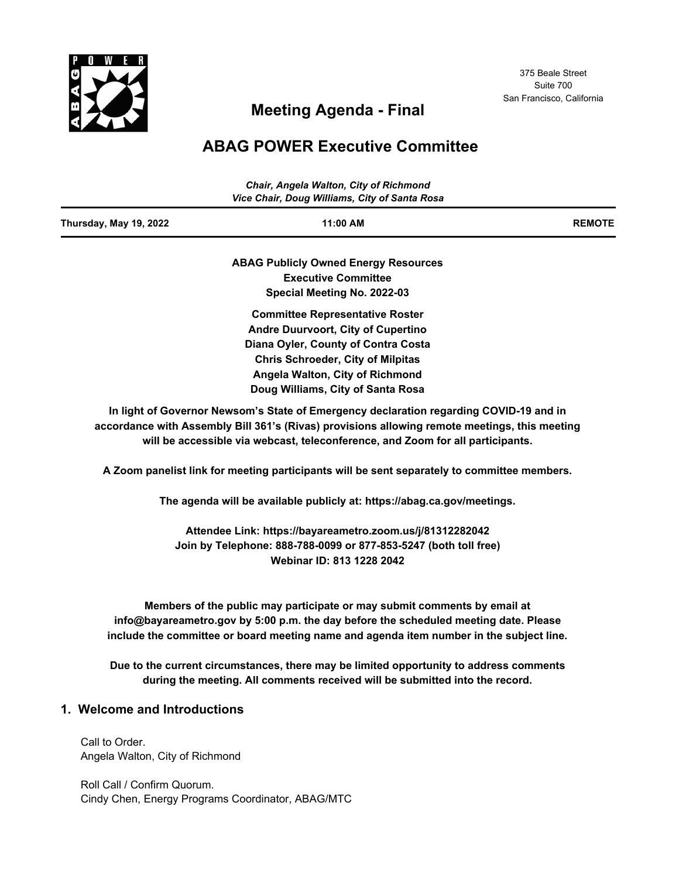

# **Meeting Agenda - Final**

# **ABAG POWER Executive Committee**

|                        | Chair, Angela Walton, City of Richmond<br>Vice Chair, Doug Williams, City of Santa Rosa |               |  |  |
|------------------------|-----------------------------------------------------------------------------------------|---------------|--|--|
| Thursday, May 19, 2022 | 11:00 AM                                                                                | <b>REMOTE</b> |  |  |
|                        | <b>ABAG Publicly Owned Energy Resources</b>                                             |               |  |  |
|                        | <b>Executive Committee</b>                                                              |               |  |  |
|                        | Special Meeting No. 2022-03                                                             |               |  |  |
|                        | <b>Committee Representative Roster</b>                                                  |               |  |  |
|                        | <b>Andre Duurvoort, City of Cupertino</b>                                               |               |  |  |
|                        | Diana Oyler, County of Contra Costa                                                     |               |  |  |
|                        | <b>Chris Schroeder, City of Milpitas</b>                                                |               |  |  |
|                        | Angela Walton, City of Richmond                                                         |               |  |  |
|                        | Doug Williams, City of Santa Rosa                                                       |               |  |  |

**In light of Governor Newsom's State of Emergency declaration regarding COVID-19 and in accordance with Assembly Bill 361's (Rivas) provisions allowing remote meetings, this meeting will be accessible via webcast, teleconference, and Zoom for all participants.**

**A Zoom panelist link for meeting participants will be sent separately to committee members.**

**The agenda will be available publicly at: https://abag.ca.gov/meetings.**

**Attendee Link: https://bayareametro.zoom.us/j/81312282042 Join by Telephone: 888-788-0099 or 877-853-5247 (both toll free) Webinar ID: 813 1228 2042**

**Members of the public may participate or may submit comments by email at info@bayareametro.gov by 5:00 p.m. the day before the scheduled meeting date. Please include the committee or board meeting name and agenda item number in the subject line.** 

**Due to the current circumstances, there may be limited opportunity to address comments during the meeting. All comments received will be submitted into the record.**

#### **1. Welcome and Introductions**

Call to Order. Angela Walton, City of Richmond

Roll Call / Confirm Quorum. Cindy Chen, Energy Programs Coordinator, ABAG/MTC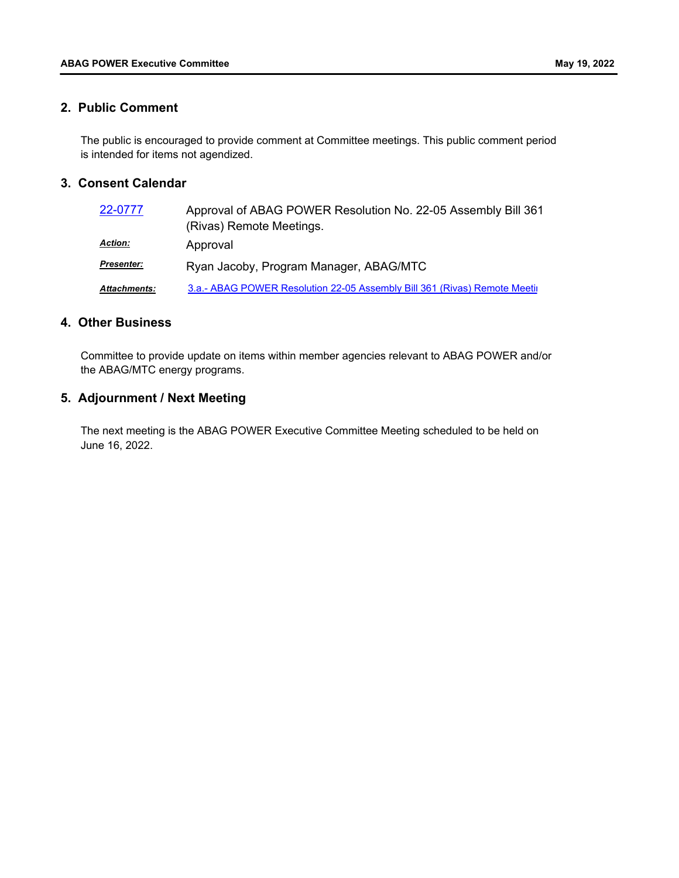#### **2. Public Comment**

The public is encouraged to provide comment at Committee meetings. This public comment period is intended for items not agendized.

#### **3. Consent Calendar**

| 22-0777           | Approval of ABAG POWER Resolution No. 22-05 Assembly Bill 361<br>(Rivas) Remote Meetings. |  |  |  |  |
|-------------------|-------------------------------------------------------------------------------------------|--|--|--|--|
| <u> Action:</u>   | Approval                                                                                  |  |  |  |  |
| <u>Presenter:</u> | Ryan Jacoby, Program Manager, ABAG/MTC                                                    |  |  |  |  |
| Attachments:      | 3.a.- ABAG POWER Resolution 22-05 Assembly Bill 361 (Rivas) Remote Meetil                 |  |  |  |  |

#### **4. Other Business**

Committee to provide update on items within member agencies relevant to ABAG POWER and/or the ABAG/MTC energy programs.

#### **5. Adjournment / Next Meeting**

The next meeting is the ABAG POWER Executive Committee Meeting scheduled to be held on June 16, 2022.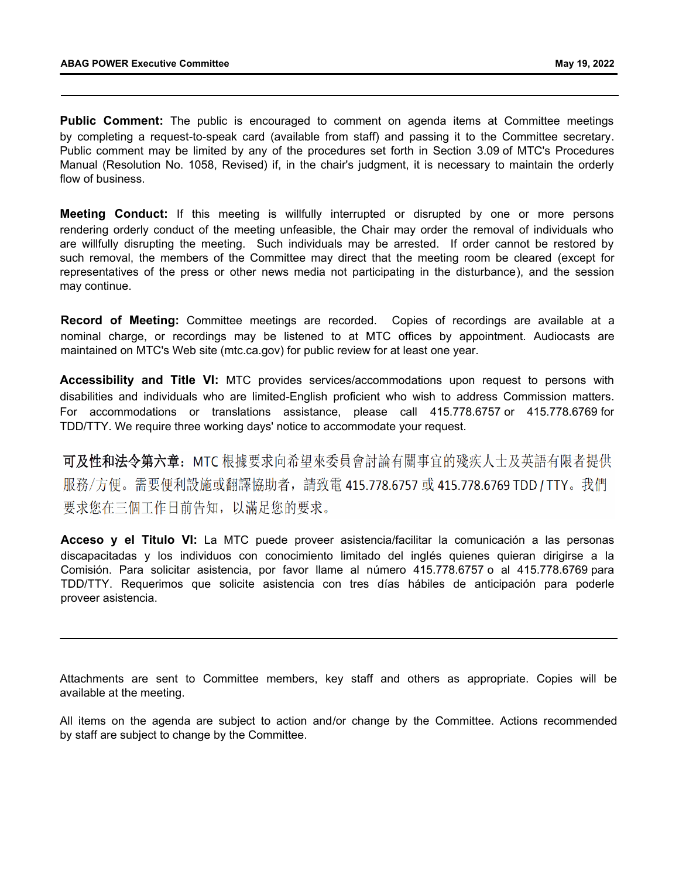**Public Comment:** The public is encouraged to comment on agenda items at Committee meetings by completing a request-to-speak card (available from staff) and passing it to the Committee secretary. Public comment may be limited by any of the procedures set forth in Section 3.09 of MTC's Procedures Manual (Resolution No. 1058, Revised) if, in the chair's judgment, it is necessary to maintain the orderly flow of business.

**Meeting Conduct:** If this meeting is willfully interrupted or disrupted by one or more persons rendering orderly conduct of the meeting unfeasible, the Chair may order the removal of individuals who are willfully disrupting the meeting. Such individuals may be arrested. If order cannot be restored by such removal, the members of the Committee may direct that the meeting room be cleared (except for representatives of the press or other news media not participating in the disturbance), and the session may continue.

**Record of Meeting:** Committee meetings are recorded. Copies of recordings are available at a nominal charge, or recordings may be listened to at MTC offices by appointment. Audiocasts are maintained on MTC's Web site (mtc.ca.gov) for public review for at least one year.

**Accessibility and Title VI:** MTC provides services/accommodations upon request to persons with disabilities and individuals who are limited-English proficient who wish to address Commission matters. For accommodations or translations assistance, please call 415.778.6757 or 415.778.6769 for TDD/TTY. We require three working days' notice to accommodate your request.

可及性和法令第六章: MTC 根據要求向希望來委員會討論有關事宜的殘疾人士及英語有限者提供 服務/方便。需要便利設施或翻譯協助者,請致電 415.778.6757 或 415.778.6769 TDD / TTY。我們 要求您在三個工作日前告知, 以滿足您的要求。

**Acceso y el Titulo VI:** La MTC puede proveer asistencia/facilitar la comunicación a las personas discapacitadas y los individuos con conocimiento limitado del inglés quienes quieran dirigirse a la Comisión. Para solicitar asistencia, por favor llame al número 415.778.6757 o al 415.778.6769 para TDD/TTY. Requerimos que solicite asistencia con tres días hábiles de anticipación para poderle proveer asistencia.

Attachments are sent to Committee members, key staff and others as appropriate. Copies will be available at the meeting.

All items on the agenda are subject to action and/or change by the Committee. Actions recommended by staff are subject to change by the Committee.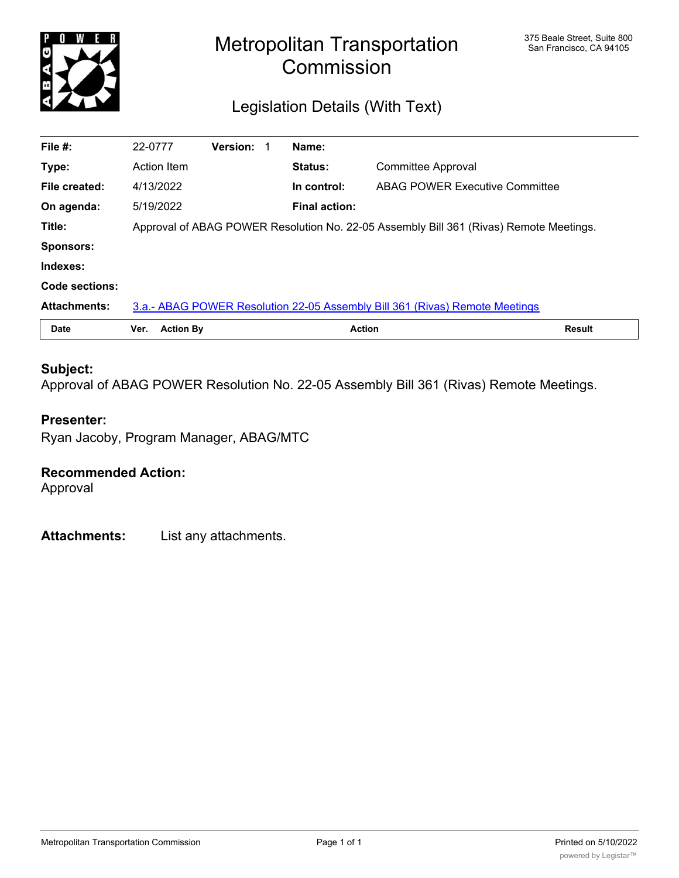<span id="page-5-0"></span>

# Metropolitan Transportation **Starbon** San Francisco, CA 94105 **Commission**

# Legislation Details (With Text)

| File #:             | 22-0777                                                                                |                  | <b>Version:</b> |  | Name:                |                                                                             |               |
|---------------------|----------------------------------------------------------------------------------------|------------------|-----------------|--|----------------------|-----------------------------------------------------------------------------|---------------|
| Type:               | Action Item                                                                            |                  |                 |  | Status:              | Committee Approval                                                          |               |
| File created:       | 4/13/2022                                                                              |                  |                 |  | In control:          | <b>ABAG POWER Executive Committee</b>                                       |               |
| On agenda:          | 5/19/2022                                                                              |                  |                 |  | <b>Final action:</b> |                                                                             |               |
| Title:              | Approval of ABAG POWER Resolution No. 22-05 Assembly Bill 361 (Rivas) Remote Meetings. |                  |                 |  |                      |                                                                             |               |
| <b>Sponsors:</b>    |                                                                                        |                  |                 |  |                      |                                                                             |               |
| Indexes:            |                                                                                        |                  |                 |  |                      |                                                                             |               |
| Code sections:      |                                                                                        |                  |                 |  |                      |                                                                             |               |
| <b>Attachments:</b> |                                                                                        |                  |                 |  |                      | 3.a.- ABAG POWER Resolution 22-05 Assembly Bill 361 (Rivas) Remote Meetings |               |
| <b>Date</b>         | Ver.                                                                                   | <b>Action By</b> |                 |  | <b>Action</b>        |                                                                             | <b>Result</b> |

#### **Subject:**

Approval of ABAG POWER Resolution No. 22-05 Assembly Bill 361 (Rivas) Remote Meetings.

#### **Presenter:**

Ryan Jacoby, Program Manager, ABAG/MTC

#### **Recommended Action:**

Approval

**Attachments:** List any attachments.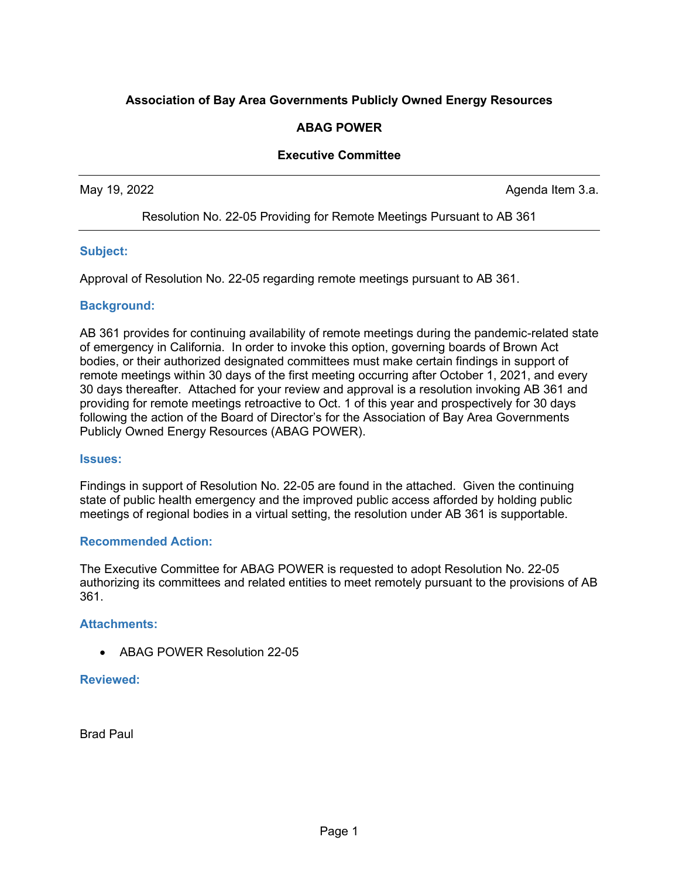#### <span id="page-6-0"></span>**Association of Bay Area Governments Publicly Owned Energy Resources**

#### **ABAG POWER**

#### **Executive Committee**

May 19, 2022 **Agents** 2022 **Agents** 2022 **Agents** 2009 **Agents** 2009 **Agents** 2009 **Agents** 2009

Resolution No. 22-05 Providing for Remote Meetings Pursuant to AB 361

#### **Subject:**

Approval of Resolution No. 22-05 regarding remote meetings pursuant to AB 361.

#### **Background:**

AB 361 provides for continuing availability of remote meetings during the pandemic-related state of emergency in California. In order to invoke this option, governing boards of Brown Act bodies, or their authorized designated committees must make certain findings in support of remote meetings within 30 days of the first meeting occurring after October 1, 2021, and every 30 days thereafter. Attached for your review and approval is a resolution invoking AB 361 and providing for remote meetings retroactive to Oct. 1 of this year and prospectively for 30 days following the action of the Board of Director's for the Association of Bay Area Governments Publicly Owned Energy Resources (ABAG POWER).

#### **Issues:**

Findings in support of Resolution No. 22-05 are found in the attached. Given the continuing state of public health emergency and the improved public access afforded by holding public meetings of regional bodies in a virtual setting, the resolution under AB 361 is supportable.

#### **Recommended Action:**

The Executive Committee for ABAG POWER is requested to adopt Resolution No. 22-05 authorizing its committees and related entities to meet remotely pursuant to the provisions of AB 361.

#### **Attachments:**

• ABAG POWER Resolution 22-05

#### **Reviewed:**

Brad Paul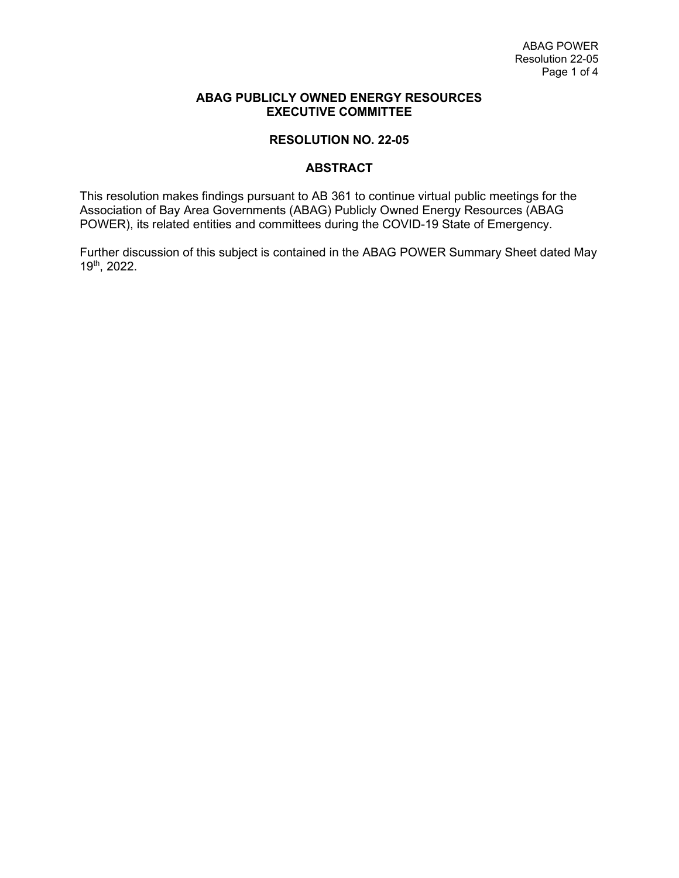#### **ABAG PUBLICLY OWNED ENERGY RESOURCES EXECUTIVE COMMITTEE**

#### **RESOLUTION NO. 22-05**

#### **ABSTRACT**

This resolution makes findings pursuant to AB 361 to continue virtual public meetings for the Association of Bay Area Governments (ABAG) Publicly Owned Energy Resources (ABAG POWER), its related entities and committees during the COVID-19 State of Emergency.

Further discussion of this subject is contained in the ABAG POWER Summary Sheet dated May 19th, 2022.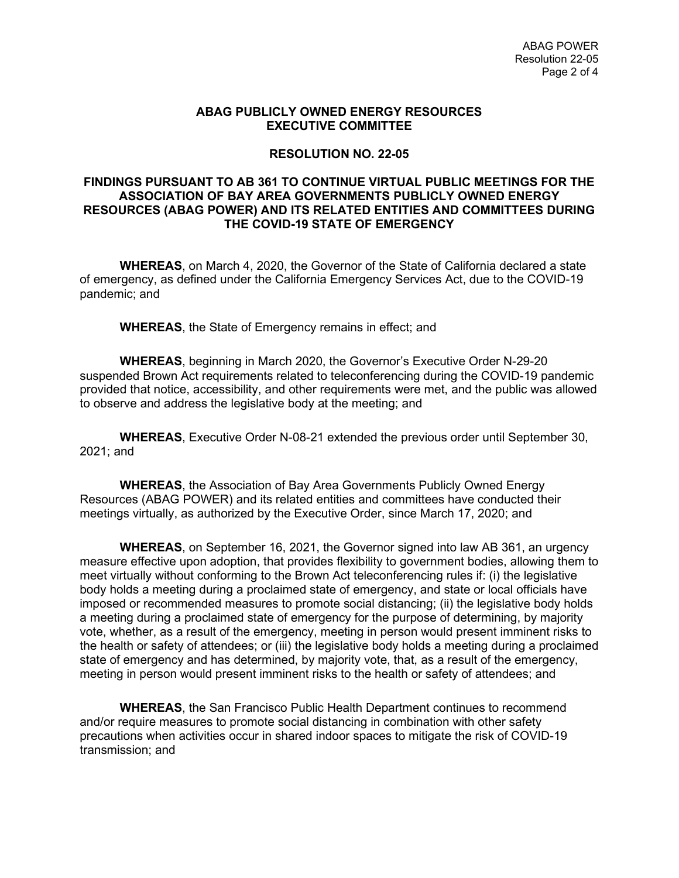#### **ABAG PUBLICLY OWNED ENERGY RESOURCES EXECUTIVE COMMITTEE**

#### **RESOLUTION NO. 22-05**

#### **FINDINGS PURSUANT TO AB 361 TO CONTINUE VIRTUAL PUBLIC MEETINGS FOR THE ASSOCIATION OF BAY AREA GOVERNMENTS PUBLICLY OWNED ENERGY RESOURCES (ABAG POWER) AND ITS RELATED ENTITIES AND COMMITTEES DURING THE COVID-19 STATE OF EMERGENCY**

**WHEREAS**, on March 4, 2020, the Governor of the State of California declared a state of emergency, as defined under the California Emergency Services Act, due to the COVID-19 pandemic; and

**WHEREAS**, the State of Emergency remains in effect; and

**WHEREAS**, beginning in March 2020, the Governor's Executive Order N-29-20 suspended Brown Act requirements related to teleconferencing during the COVID-19 pandemic provided that notice, accessibility, and other requirements were met, and the public was allowed to observe and address the legislative body at the meeting; and

**WHEREAS**, Executive Order N-08-21 extended the previous order until September 30, 2021; and

**WHEREAS**, the Association of Bay Area Governments Publicly Owned Energy Resources (ABAG POWER) and its related entities and committees have conducted their meetings virtually, as authorized by the Executive Order, since March 17, 2020; and

**WHEREAS**, on September 16, 2021, the Governor signed into law AB 361, an urgency measure effective upon adoption, that provides flexibility to government bodies, allowing them to meet virtually without conforming to the Brown Act teleconferencing rules if: (i) the legislative body holds a meeting during a proclaimed state of emergency, and state or local officials have imposed or recommended measures to promote social distancing; (ii) the legislative body holds a meeting during a proclaimed state of emergency for the purpose of determining, by majority vote, whether, as a result of the emergency, meeting in person would present imminent risks to the health or safety of attendees; or (iii) the legislative body holds a meeting during a proclaimed state of emergency and has determined, by majority vote, that, as a result of the emergency, meeting in person would present imminent risks to the health or safety of attendees; and

**WHEREAS**, the San Francisco Public Health Department continues to recommend and/or require measures to promote social distancing in combination with other safety precautions when activities occur in shared indoor spaces to mitigate the risk of COVID-19 transmission; and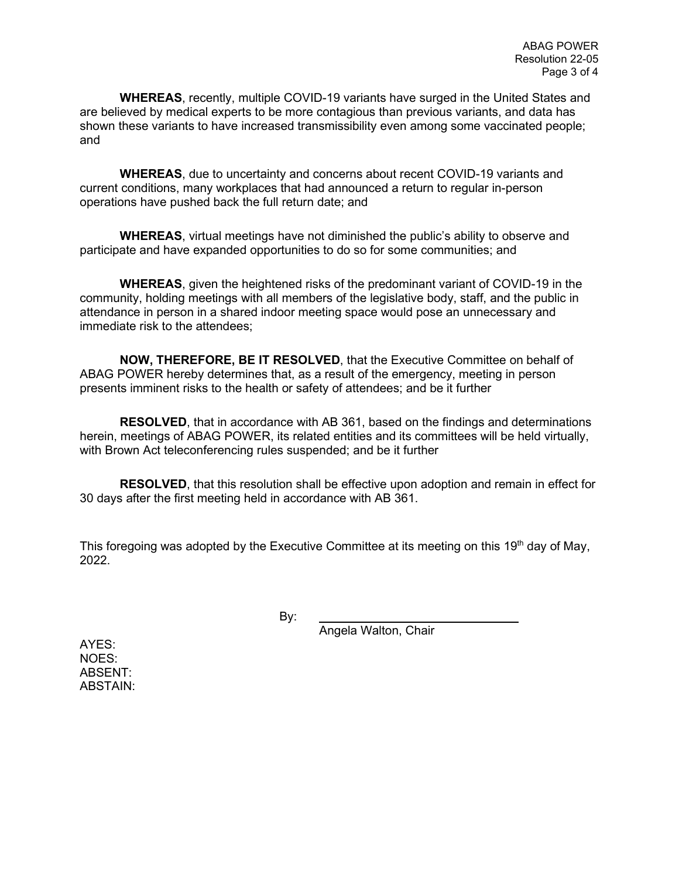**WHEREAS**, recently, multiple COVID-19 variants have surged in the United States and are believed by medical experts to be more contagious than previous variants, and data has shown these variants to have increased transmissibility even among some vaccinated people; and

**WHEREAS**, due to uncertainty and concerns about recent COVID-19 variants and current conditions, many workplaces that had announced a return to regular in-person operations have pushed back the full return date; and

**WHEREAS**, virtual meetings have not diminished the public's ability to observe and participate and have expanded opportunities to do so for some communities; and

**WHEREAS**, given the heightened risks of the predominant variant of COVID-19 in the community, holding meetings with all members of the legislative body, staff, and the public in attendance in person in a shared indoor meeting space would pose an unnecessary and immediate risk to the attendees;

**NOW, THEREFORE, BE IT RESOLVED**, that the Executive Committee on behalf of ABAG POWER hereby determines that, as a result of the emergency, meeting in person presents imminent risks to the health or safety of attendees; and be it further

**RESOLVED**, that in accordance with AB 361, based on the findings and determinations herein, meetings of ABAG POWER, its related entities and its committees will be held virtually, with Brown Act teleconferencing rules suspended; and be it further

**RESOLVED**, that this resolution shall be effective upon adoption and remain in effect for 30 days after the first meeting held in accordance with AB 361.

This foregoing was adopted by the Executive Committee at its meeting on this 19<sup>th</sup> day of May, 2022.

By:

Angela Walton, Chair

AYES: NOES: ABSENT: ABSTAIN: